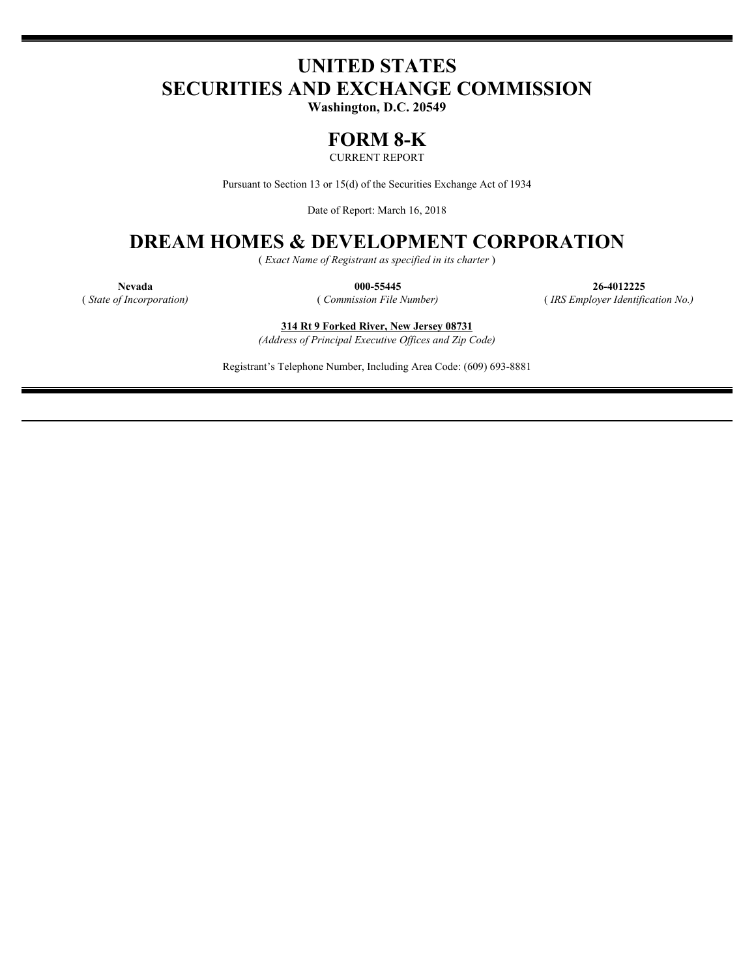# **UNITED STATES SECURITIES AND EXCHANGE COMMISSION**

**Washington, D.C. 20549**

## **FORM 8-K**

CURRENT REPORT

Pursuant to Section 13 or 15(d) of the Securities Exchange Act of 1934

Date of Report: March 16, 2018

## **DREAM HOMES & DEVELOPMENT CORPORATION**

( *Exact Name of Registrant as specified in its charter* )

**Nevada 000-55445 26-4012225** ( *State of Incorporation)* ( *Commission File Number)* ( *IRS Employer Identification No.)*

**314 Rt 9 Forked River, New Jersey 08731** *(Address of Principal Executive Offices and Zip Code)*

Registrant's Telephone Number, Including Area Code: (609) 693-8881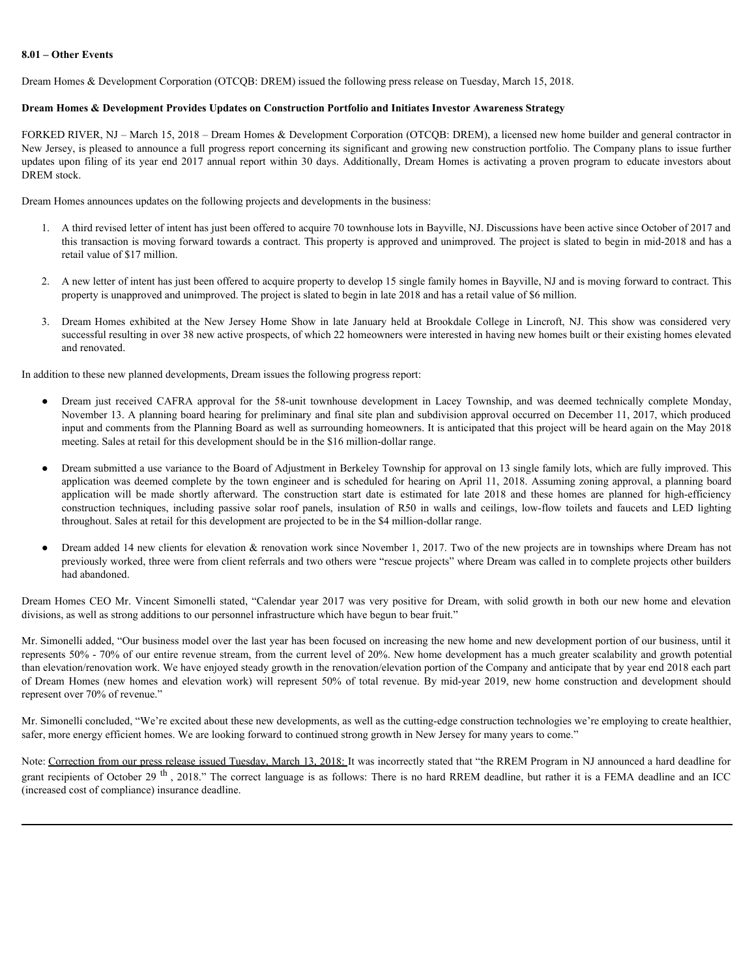#### **8.01 – Other Events**

Dream Homes & Development Corporation (OTCQB: DREM) issued the following press release on Tuesday, March 15, 2018.

#### **Dream Homes & Development Provides Updates on Construction Portfolio and Initiates Investor Awareness Strategy**

FORKED RIVER, NJ – March 15, 2018 – Dream Homes & Development Corporation (OTCQB: DREM), a licensed new home builder and general contractor in New Jersey, is pleased to announce a full progress report concerning its significant and growing new construction portfolio. The Company plans to issue further **S.01 – Other Events**<br> **Dream Homes & Development Corporation (OTCQB: DREM)** issued the following press release on Tuesday, March 15, 2018.<br> **Dream Homes & Development Provides Updates on Construction Portfolio and Initiat** DREM stock. Other Events<br>
2. Dream Homes & Development Powides Updates on Construction Poerfolio and Initiates Investor Awareness Strategy<br>
2. RD RIVER, NJ – Murch 15, 2018 – Dream Homes & Development Corporation (OTCQ)E: DREM), a lic = Other Events<br>
m Homes & Development Provides Updates on Construction Portfolio and Initiates Javeston Tuesday, March 15, 2018.<br>
KED NIVER, NJ = Alsen 1: 2018 - Denomination Coronal Homes AD received more than the state

Dream Homes announces updates on the following projects and developments in the business:

- 1. A third revised letter of intent has just been offered to acquire 70 townhouse lots in Bayville, NJ. Discussions have been active since October of 2017 and this transaction is moving forward towards a contract. This property is approved and unimproved. The project is slated to begin in mid-2018 and has a retail value of \$17 million.
- 2. A new letter of intent has just been offered to acquire property to develop 15 single family homes in Bayville, NJ and is moving forward to contract. This property is unapproved and unimproved. The project is slated to begin in late 2018 and has a retail value of \$6 million.
- successful resulting in over 38 new active prospects, of which 22 homeowners were interested in having new homes built or their existing homes elevated and renovated.

In addition to these new planned developments, Dream issues the following progress report:

- November 13. A planning board hearing for preliminary and final site plan and subdivision approval occurred on December 11, 2017, which produced input and comments from the Planning Board as well as surrounding homeowners. It is anticipated that this project will be heard again on the May 2018 meeting. Sales at retail for this development should be in the \$16 million-dollar range.
- Dream submitted a use variance to the Board of Adjustment in Berkeley Township for approval on 13 single family lots, which are fully improved. This application was deemed complete by the town engineer and is scheduled for hearing on April 11, 2018. Assuming zoning approval, a planning board Iomes & Development Provides Unduits on Construction Porfolio and latitates Investor Avenuences Strategy be RIVER, NJ - Means 15, 2018 - Dressen Homes & Development Coroners of the construction for location and the compari fourse & Development Provides Updates on Construction Portfolio and Initiates Investor Awareness Strategy<br>SUPR, VJ - Mech 15, 2018 - Dream Bones & Development Copyration (OTCOS: DREM), a licensed now too both the company p throughout. Sales at retail for this development are projected to be in the \$4 million-dollar range.
- Dream added 14 new clients for elevation & renovation work since November 1, 2017. Two of the new projects are in townships where Dream has not previously worked, three were from client referrals and two others were "rescue projects" where Dream was called in to complete projects other builders had abandoned.

divisions, as well as strong additions to our personnel infrastructure which have begun to bear fruit."

Dream Homes unstances update on the following projects and decelayereds in the bothers:<br>
A minit existed letter and interesting the both and solicit of the syaristic product bein in the project is simolate being in the 20 Mr. Simonelli added, "Our business model over the last year has been focused on increasing the new home and new development portion of our business, until it represents 50% - 70% of our entire revenue stream, from the current level of 20%. New home development has a much greater scalability and growth potential than elevation/renovation work. We have enjoyed steady growth in the renovation/elevation portion of the Company and anticipate that by year end 2018 each part 2. A reached with the two there is a control to a constraint on each prior is such a forest in the REF (First) the such as the REF (First) is the Construction of the Construction and the Construction and the Construction represent over 70% of revenue."

Mr. Simonelli concluded, "We're excited about these new developments, as well as the cutting-edge construction technologies we're employing to create healthier, safer, more energy efficient homes. We are looking forward to continued strong growth in New Jersey for many years to come."

Note: Correction from our press release issued Tuesday, March 13, 2018: It was incorrectly stated that "the RREM Program in NJ announced a hard deadline for grant recipients of October 29<sup>th</sup>, 2018." The correct language is as follows: There is no hard RREM deadline, but rather it is a FEMA deadline and an ICC (increased cost of compliance) insurance deadline.